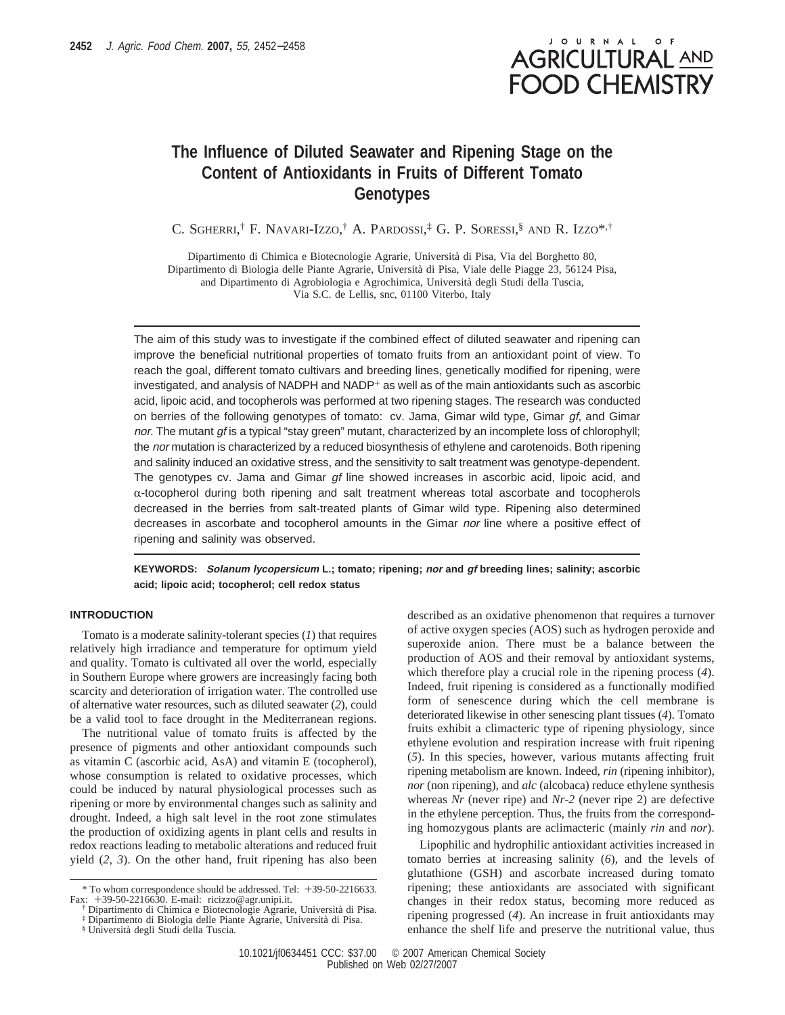

# **The Influence of Diluted Seawater and Ripening Stage on the Content of Antioxidants in Fruits of Different Tomato Genotypes**

C. SGHERRI,<sup>†</sup> F. Navari-Izzo,† A. Pardossi,‡ G. P. Soressi,§ and R. Izzo\*<sup>,†</sup>

Dipartimento di Chimica e Biotecnologie Agrarie, Universita` di Pisa, Via del Borghetto 80, Dipartimento di Biologia delle Piante Agrarie, Universita` di Pisa, Viale delle Piagge 23, 56124 Pisa, and Dipartimento di Agrobiologia e Agrochimica, Universita` degli Studi della Tuscia, Via S.C. de Lellis, snc, 01100 Viterbo, Italy

The aim of this study was to investigate if the combined effect of diluted seawater and ripening can improve the beneficial nutritional properties of tomato fruits from an antioxidant point of view. To reach the goal, different tomato cultivars and breeding lines, genetically modified for ripening, were investigated, and analysis of NADPH and NADP $^+$  as well as of the main antioxidants such as ascorbic acid, lipoic acid, and tocopherols was performed at two ripening stages. The research was conducted on berries of the following genotypes of tomato:  $cv$ . Jama, Gimar wild type, Gimar  $qf$ , and Gimar nor. The mutant gf is a typical "stay green" mutant, characterized by an incomplete loss of chlorophyll; the nor mutation is characterized by a reduced biosynthesis of ethylene and carotenoids. Both ripening and salinity induced an oxidative stress, and the sensitivity to salt treatment was genotype-dependent. The genotypes cv. Jama and Gimar gf line showed increases in ascorbic acid, lipoic acid, and  $\alpha$ -tocopherol during both ripening and salt treatment whereas total ascorbate and tocopherols decreased in the berries from salt-treated plants of Gimar wild type. Ripening also determined decreases in ascorbate and tocopherol amounts in the Gimar nor line where a positive effect of ripening and salinity was observed.

**KEYWORDS: Solanum lycopersicum L.; tomato; ripening; nor and gf breeding lines; salinity; ascorbic acid; lipoic acid; tocopherol; cell redox status**

# **INTRODUCTION**

Tomato is a moderate salinity-tolerant species (*1*) that requires relatively high irradiance and temperature for optimum yield and quality. Tomato is cultivated all over the world, especially in Southern Europe where growers are increasingly facing both scarcity and deterioration of irrigation water. The controlled use of alternative water resources, such as diluted seawater (*2*), could be a valid tool to face drought in the Mediterranean regions.

The nutritional value of tomato fruits is affected by the presence of pigments and other antioxidant compounds such as vitamin C (ascorbic acid, AsA) and vitamin E (tocopherol), whose consumption is related to oxidative processes, which could be induced by natural physiological processes such as ripening or more by environmental changes such as salinity and drought. Indeed, a high salt level in the root zone stimulates the production of oxidizing agents in plant cells and results in redox reactions leading to metabolic alterations and reduced fruit yield (*2*, *3*). On the other hand, fruit ripening has also been

described as an oxidative phenomenon that requires a turnover of active oxygen species (AOS) such as hydrogen peroxide and superoxide anion. There must be a balance between the production of AOS and their removal by antioxidant systems, which therefore play a crucial role in the ripening process (*4*). Indeed, fruit ripening is considered as a functionally modified form of senescence during which the cell membrane is deteriorated likewise in other senescing plant tissues (*4*). Tomato fruits exhibit a climacteric type of ripening physiology, since ethylene evolution and respiration increase with fruit ripening (*5*). In this species, however, various mutants affecting fruit ripening metabolism are known. Indeed, *rin* (ripening inhibitor), *nor* (non ripening), and *alc* (alcobaca) reduce ethylene synthesis whereas *Nr* (never ripe) and *Nr-2* (never ripe 2) are defective in the ethylene perception. Thus, the fruits from the corresponding homozygous plants are aclimacteric (mainly *rin* and *nor*).

Lipophilic and hydrophilic antioxidant activities increased in tomato berries at increasing salinity (*6*), and the levels of glutathione (GSH) and ascorbate increased during tomato ripening; these antioxidants are associated with significant changes in their redox status, becoming more reduced as ripening progressed (*4*). An increase in fruit antioxidants may enhance the shelf life and preserve the nutritional value, thus

<sup>\*</sup> To whom correspondence should be addressed. Tel: +39-50-2216633. Fax: +39-50-2216630. E-mail: ricizzo@agr.unipi.it.

<sup>†</sup> Dipartimento di Chimica e Biotecnologie Agrarie, Universita` di Pisa.

<sup>‡</sup> Dipartimento di Biologia delle Piante Agrarie, Universita` di Pisa.

<sup>§</sup> Universita` degli Studi della Tuscia.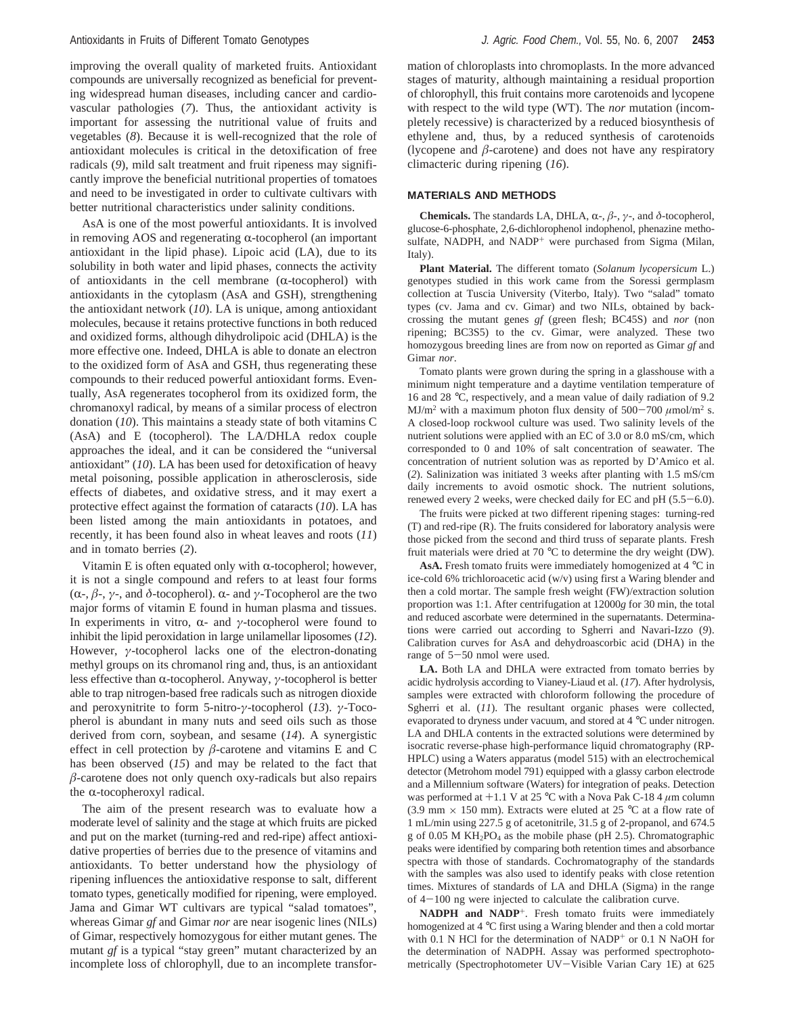improving the overall quality of marketed fruits. Antioxidant compounds are universally recognized as beneficial for preventing widespread human diseases, including cancer and cardiovascular pathologies (*7*). Thus, the antioxidant activity is important for assessing the nutritional value of fruits and vegetables (*8*). Because it is well-recognized that the role of antioxidant molecules is critical in the detoxification of free radicals (*9*), mild salt treatment and fruit ripeness may significantly improve the beneficial nutritional properties of tomatoes and need to be investigated in order to cultivate cultivars with better nutritional characteristics under salinity conditions.

AsA is one of the most powerful antioxidants. It is involved in removing AOS and regenerating  $\alpha$ -tocopherol (an important antioxidant in the lipid phase). Lipoic acid (LA), due to its solubility in both water and lipid phases, connects the activity of antioxidants in the cell membrane  $(\alpha$ -tocopherol) with antioxidants in the cytoplasm (AsA and GSH), strengthening the antioxidant network (*10*). LA is unique, among antioxidant molecules, because it retains protective functions in both reduced and oxidized forms, although dihydrolipoic acid (DHLA) is the more effective one. Indeed, DHLA is able to donate an electron to the oxidized form of AsA and GSH, thus regenerating these compounds to their reduced powerful antioxidant forms. Eventually, AsA regenerates tocopherol from its oxidized form, the chromanoxyl radical, by means of a similar process of electron donation (*10*). This maintains a steady state of both vitamins C (AsA) and E (tocopherol). The LA/DHLA redox couple approaches the ideal, and it can be considered the "universal antioxidant" (*10*). LA has been used for detoxification of heavy metal poisoning, possible application in atherosclerosis, side effects of diabetes, and oxidative stress, and it may exert a protective effect against the formation of cataracts (*10*). LA has been listed among the main antioxidants in potatoes, and recently, it has been found also in wheat leaves and roots (*11*) and in tomato berries (*2*).

Vitamin E is often equated only with  $\alpha$ -tocopherol; however, it is not a single compound and refers to at least four forms ( $\alpha$ -,  $\beta$ -,  $\gamma$ -, and  $\delta$ -tocopherol).  $\alpha$ - and  $\gamma$ -Tocopherol are the two major forms of vitamin E found in human plasma and tissues. In experiments in vitro,  $\alpha$ - and *γ*-tocopherol were found to inhibit the lipid peroxidation in large unilamellar liposomes (*12*). However, *γ*-tocopherol lacks one of the electron-donating methyl groups on its chromanol ring and, thus, is an antioxidant less effective than α-tocopherol. Anyway, *γ*-tocopherol is better able to trap nitrogen-based free radicals such as nitrogen dioxide and peroxynitrite to form 5-nitro-*γ*-tocopherol (*13*). *γ*-Tocopherol is abundant in many nuts and seed oils such as those derived from corn, soybean, and sesame (*14*). A synergistic effect in cell protection by *â*-carotene and vitamins E and C has been observed (*15*) and may be related to the fact that *â*-carotene does not only quench oxy-radicals but also repairs the  $\alpha$ -tocopheroxyl radical.

The aim of the present research was to evaluate how a moderate level of salinity and the stage at which fruits are picked and put on the market (turning-red and red-ripe) affect antioxidative properties of berries due to the presence of vitamins and antioxidants. To better understand how the physiology of ripening influences the antioxidative response to salt, different tomato types, genetically modified for ripening, were employed. Jama and Gimar WT cultivars are typical "salad tomatoes", whereas Gimar *gf* and Gimar *nor* are near isogenic lines (NILs) of Gimar, respectively homozygous for either mutant genes. The mutant *gf* is a typical "stay green" mutant characterized by an incomplete loss of chlorophyll, due to an incomplete transfor-

mation of chloroplasts into chromoplasts. In the more advanced stages of maturity, although maintaining a residual proportion of chlorophyll, this fruit contains more carotenoids and lycopene with respect to the wild type (WT). The *nor* mutation (incompletely recessive) is characterized by a reduced biosynthesis of ethylene and, thus, by a reduced synthesis of carotenoids (lycopene and  $\beta$ -carotene) and does not have any respiratory climacteric during ripening (*16*).

#### **MATERIALS AND METHODS**

**Chemicals.** The standards LA, DHLA,  $\alpha$ -,  $\beta$ -,  $\gamma$ -, and  $\delta$ -tocopherol, glucose-6-phosphate, 2,6-dichlorophenol indophenol, phenazine methosulfate, NADPH, and NADP<sup>+</sup> were purchased from Sigma (Milan, Italy).

**Plant Material.** The different tomato (*Solanum lycopersicum* L.) genotypes studied in this work came from the Soressi germplasm collection at Tuscia University (Viterbo, Italy). Two "salad" tomato types (cv. Jama and cv. Gimar) and two NILs, obtained by backcrossing the mutant genes *gf* (green flesh; BC45S) and *nor* (non ripening; BC3S5) to the cv. Gimar, were analyzed. These two homozygous breeding lines are from now on reported as Gimar *gf* and Gimar *nor*.

Tomato plants were grown during the spring in a glasshouse with a minimum night temperature and a daytime ventilation temperature of 16 and 28 °C, respectively, and a mean value of daily radiation of 9.2 MJ/m<sup>2</sup> with a maximum photon flux density of  $500-700 \ \mu$ mol/m<sup>2</sup> s. A closed-loop rockwool culture was used. Two salinity levels of the nutrient solutions were applied with an EC of 3.0 or 8.0 mS/cm, which corresponded to 0 and 10% of salt concentration of seawater. The concentration of nutrient solution was as reported by D'Amico et al. (*2*). Salinization was initiated 3 weeks after planting with 1.5 mS/cm daily increments to avoid osmotic shock. The nutrient solutions, renewed every 2 weeks, were checked daily for EC and pH (5.5-6.0).

The fruits were picked at two different ripening stages: turning-red (T) and red-ripe (R). The fruits considered for laboratory analysis were those picked from the second and third truss of separate plants. Fresh fruit materials were dried at 70 °C to determine the dry weight (DW).

**AsA.** Fresh tomato fruits were immediately homogenized at 4 °C in ice-cold 6% trichloroacetic acid (w/v) using first a Waring blender and then a cold mortar. The sample fresh weight (FW)/extraction solution proportion was 1:1. After centrifugation at 12000*g* for 30 min, the total and reduced ascorbate were determined in the supernatants. Determinations were carried out according to Sgherri and Navari-Izzo (*9*). Calibration curves for AsA and dehydroascorbic acid (DHA) in the range of 5-50 nmol were used.

**LA.** Both LA and DHLA were extracted from tomato berries by acidic hydrolysis according to Vianey-Liaud et al. (*17*). After hydrolysis, samples were extracted with chloroform following the procedure of Sgherri et al. (*11*). The resultant organic phases were collected, evaporated to dryness under vacuum, and stored at 4 °C under nitrogen. LA and DHLA contents in the extracted solutions were determined by isocratic reverse-phase high-performance liquid chromatography (RP-HPLC) using a Waters apparatus (model 515) with an electrochemical detector (Metrohom model 791) equipped with a glassy carbon electrode and a Millennium software (Waters) for integration of peaks. Detection was performed at +1.1 V at 25 °C with a Nova Pak C-18 4 *<sup>µ</sup>*m column (3.9 mm  $\times$  150 mm). Extracts were eluted at 25 °C at a flow rate of 1 mL/min using 227.5 g of acetonitrile, 31.5 g of 2-propanol, and 674.5 g of 0.05 M  $KH_2PO_4$  as the mobile phase (pH 2.5). Chromatographic peaks were identified by comparing both retention times and absorbance spectra with those of standards. Cochromatography of the standards with the samples was also used to identify peaks with close retention times. Mixtures of standards of LA and DHLA (Sigma) in the range of 4-100 ng were injected to calculate the calibration curve.

**NADPH and NADP**+. Fresh tomato fruits were immediately homogenized at 4 °C first using a Waring blender and then a cold mortar with 0.1 N HCl for the determination of NADP<sup>+</sup> or 0.1 N NaOH for the determination of NADPH. Assay was performed spectrophotometrically (Spectrophotometer UV-Visible Varian Cary 1E) at 625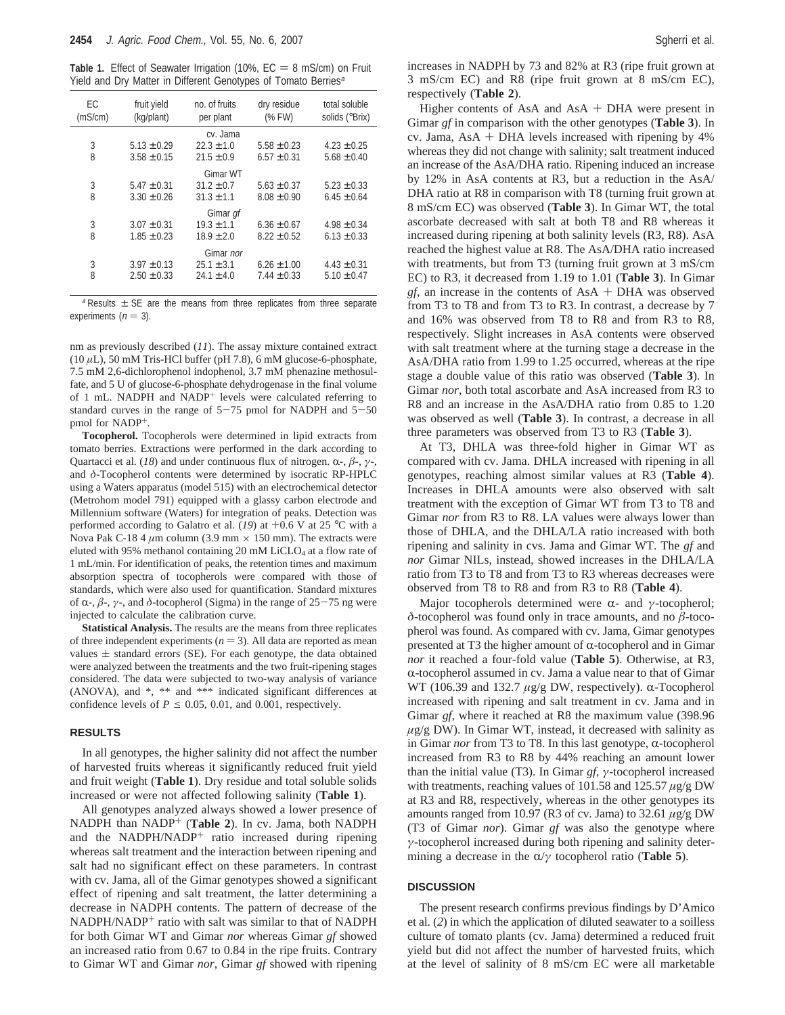**Table 1.** Effect of Seawater Irrigation (10%,  $EC = 8$  mS/cm) on Fruit Yield and Dry Matter in Different Genotypes of Tomato Berries<sup>a</sup>

| EC<br>(mS/cm) | fruit yield<br>(kg/plant) | no. of fruits<br>per plant | dry residue<br>(% FW) | total soluble<br>solids (°Brix) |  |  |  |  |
|---------------|---------------------------|----------------------------|-----------------------|---------------------------------|--|--|--|--|
|               |                           | cv. Jama                   |                       |                                 |  |  |  |  |
| 3             | $5.13 \pm 0.29$           | $22.3 \pm 1.0$             | $5.58 \pm 0.23$       | $4.23 \pm 0.25$                 |  |  |  |  |
| 8             | $3.58 \pm 0.15$           | $21.5 \pm 0.9$             | $6.57 \pm 0.31$       | $5.68 \pm 0.40$                 |  |  |  |  |
|               |                           | Gimar WT                   |                       |                                 |  |  |  |  |
| 3             | $5.47 \pm 0.31$           | $31.2 \pm 0.7$             | $5.63 \pm 0.37$       | $5.23 \pm 0.33$                 |  |  |  |  |
| 8             | $3.30 \pm 0.26$           | $31.3 \pm 1.1$             | $8.08 \pm 0.90$       | $6.45 \pm 0.64$                 |  |  |  |  |
| Gimar gf      |                           |                            |                       |                                 |  |  |  |  |
| 3             | $3.07 \pm 0.31$           | $19.3 \pm 1.1$             | $6.36 \pm 0.67$       | $4.98 \pm 0.34$                 |  |  |  |  |
| 8             | $1.85 \pm 0.23$           | $18.9 \pm 2.0$             | $8.22 \pm 0.52$       | $6.13 \pm 0.33$                 |  |  |  |  |
|               |                           | Gimar nor                  |                       |                                 |  |  |  |  |
| 3             | $3.97 \pm 0.13$           | $25.1 \pm 3.1$             | $6.26 \pm 1.00$       | $4.43 \pm 0.31$                 |  |  |  |  |
| 8             | $2.50 \pm 0.33$           | $24.1 \pm 4.0$             | $7.44 \pm 0.33$       | $5.10 \pm 0.47$                 |  |  |  |  |
|               |                           |                            |                       |                                 |  |  |  |  |

 $a$  Results  $\pm$  SE are the means from three replicates from three separate experiments ( $n = 3$ ).

nm as previously described (*11*). The assay mixture contained extract (10 *µ*L), 50 mM Tris-HCl buffer (pH 7.8), 6 mM glucose-6-phosphate, 7.5 mM 2,6-dichlorophenol indophenol, 3.7 mM phenazine methosulfate, and 5 U of glucose-6-phosphate dehydrogenase in the final volume of 1 mL. NADPH and NADP<sup>+</sup> levels were calculated referring to standard curves in the range of  $5-75$  pmol for NADPH and  $5-50$ pmol for NADP+.

**Tocopherol.** Tocopherols were determined in lipid extracts from tomato berries. Extractions were performed in the dark according to Quartacci et al. ( $18$ ) and under continuous flux of nitrogen.  $\alpha$ -,  $\beta$ -,  $\gamma$ -, and *δ*-Tocopherol contents were determined by isocratic RP-HPLC using a Waters apparatus (model 515) with an electrochemical detector (Metrohom model 791) equipped with a glassy carbon electrode and Millennium software (Waters) for integration of peaks. Detection was performed according to Galatro et al. (*19*) at +0.6 V at 25 °C with a Nova Pak C-18 4  $\mu$ m column (3.9 mm  $\times$  150 mm). The extracts were eluted with 95% methanol containing 20 mM LiCLO<sub>4</sub> at a flow rate of 1 mL/min. For identification of peaks, the retention times and maximum absorption spectra of tocopherols were compared with those of standards, which were also used for quantification. Standard mixtures of  $\alpha$ -,  $\beta$ -,  $\gamma$ -, and  $\delta$ -tocopherol (Sigma) in the range of 25-75 ng were injected to calculate the calibration curve.

**Statistical Analysis.** The results are the means from three replicates of three independent experiments ( $n = 3$ ). All data are reported as mean values  $\pm$  standard errors (SE). For each genotype, the data obtained were analyzed between the treatments and the two fruit-ripening stages considered. The data were subjected to two-way analysis of variance (ANOVA), and \*, \*\* and \*\*\* indicated significant differences at confidence levels of  $P \le 0.05$ , 0.01, and 0.001, respectively.

#### **RESULTS**

In all genotypes, the higher salinity did not affect the number of harvested fruits whereas it significantly reduced fruit yield and fruit weight (**Table 1**). Dry residue and total soluble solids increased or were not affected following salinity (**Table 1**).

All genotypes analyzed always showed a lower presence of NADPH than NADP<sup>+</sup> (**Table 2**). In cv. Jama, both NADPH and the NADPH/NADP<sup>+</sup> ratio increased during ripening whereas salt treatment and the interaction between ripening and salt had no significant effect on these parameters. In contrast with cv. Jama, all of the Gimar genotypes showed a significant effect of ripening and salt treatment, the latter determining a decrease in NADPH contents. The pattern of decrease of the NADPH/NADP<sup>+</sup> ratio with salt was similar to that of NADPH for both Gimar WT and Gimar *nor* whereas Gimar *gf* showed an increased ratio from 0.67 to 0.84 in the ripe fruits. Contrary to Gimar WT and Gimar *nor*, Gimar *gf* showed with ripening increases in NADPH by 73 and 82% at R3 (ripe fruit grown at 3 mS/cm EC) and R8 (ripe fruit grown at 8 mS/cm EC), respectively (**Table 2**).

Higher contents of AsA and  $AsA + DHA$  were present in Gimar *gf* in comparison with the other genotypes (**Table 3**). In cv. Jama,  $AsA + DHA$  levels increased with ripening by  $4\%$ whereas they did not change with salinity; salt treatment induced an increase of the AsA/DHA ratio. Ripening induced an increase by 12% in AsA contents at R3, but a reduction in the AsA/ DHA ratio at R8 in comparison with T8 (turning fruit grown at 8 mS/cm EC) was observed (**Table 3**). In Gimar WT, the total ascorbate decreased with salt at both T8 and R8 whereas it increased during ripening at both salinity levels (R3, R8). AsA reached the highest value at R8. The AsA/DHA ratio increased with treatments, but from T3 (turning fruit grown at 3 mS/cm EC) to R3, it decreased from 1.19 to 1.01 (**Table 3**). In Gimar *gf*, an increase in the contents of AsA + DHA was observed from T3 to T8 and from T3 to R3. In contrast, a decrease by 7 and 16% was observed from T8 to R8 and from R3 to R8, respectively. Slight increases in AsA contents were observed with salt treatment where at the turning stage a decrease in the AsA/DHA ratio from 1.99 to 1.25 occurred, whereas at the ripe stage a double value of this ratio was observed (**Table 3**). In Gimar *nor*, both total ascorbate and AsA increased from R3 to R8 and an increase in the AsA/DHA ratio from 0.85 to 1.20 was observed as well (**Table 3**). In contrast, a decrease in all three parameters was observed from T3 to R3 (**Table 3**).

At T3, DHLA was three-fold higher in Gimar WT as compared with cv. Jama. DHLA increased with ripening in all genotypes, reaching almost similar values at R3 (**Table 4**). Increases in DHLA amounts were also observed with salt treatment with the exception of Gimar WT from T3 to T8 and Gimar *nor* from R3 to R8. LA values were always lower than those of DHLA, and the DHLA/LA ratio increased with both ripening and salinity in cvs. Jama and Gimar WT. The *gf* and *nor* Gimar NILs, instead, showed increases in the DHLA/LA ratio from T3 to T8 and from T3 to R3 whereas decreases were observed from T8 to R8 and from R3 to R8 (**Table 4**).

Major tocopherols determined were α- and *γ*-tocopherol; *δ*-tocopherol was found only in trace amounts, and no *â*-tocopherol was found. As compared with cv. Jama, Gimar genotypes presented at T3 the higher amount of  $\alpha$ -tocopherol and in Gimar *nor* it reached a four-fold value (**Table 5**). Otherwise, at R3,  $\alpha$ -tocopherol assumed in cv. Jama a value near to that of Gimar WT (106.39 and 132.7  $\mu$ g/g DW, respectively).  $\alpha$ -Tocopherol increased with ripening and salt treatment in cv. Jama and in Gimar *gf*, where it reached at R8 the maximum value (398.96  $\mu$ g/g DW). In Gimar WT, instead, it decreased with salinity as in Gimar *nor* from T3 to T8. In this last genotype,  $\alpha$ -tocopherol increased from R3 to R8 by 44% reaching an amount lower than the initial value (T3). In Gimar *gf*, *γ*-tocopherol increased with treatments, reaching values of 101.58 and 125.57 *µ*g/g DW at R3 and R8, respectively, whereas in the other genotypes its amounts ranged from 10.97 (R3 of cv. Jama) to 32.61 *µ*g/g DW (T3 of Gimar *nor*). Gimar *gf* was also the genotype where *γ*-tocopherol increased during both ripening and salinity determining a decrease in the  $\alpha/\gamma$  tocopherol ratio (**Table 5**).

## **DISCUSSION**

The present research confirms previous findings by D'Amico et al. (*2*) in which the application of diluted seawater to a soilless culture of tomato plants (cv. Jama) determined a reduced fruit yield but did not affect the number of harvested fruits, which at the level of salinity of 8 mS/cm EC were all marketable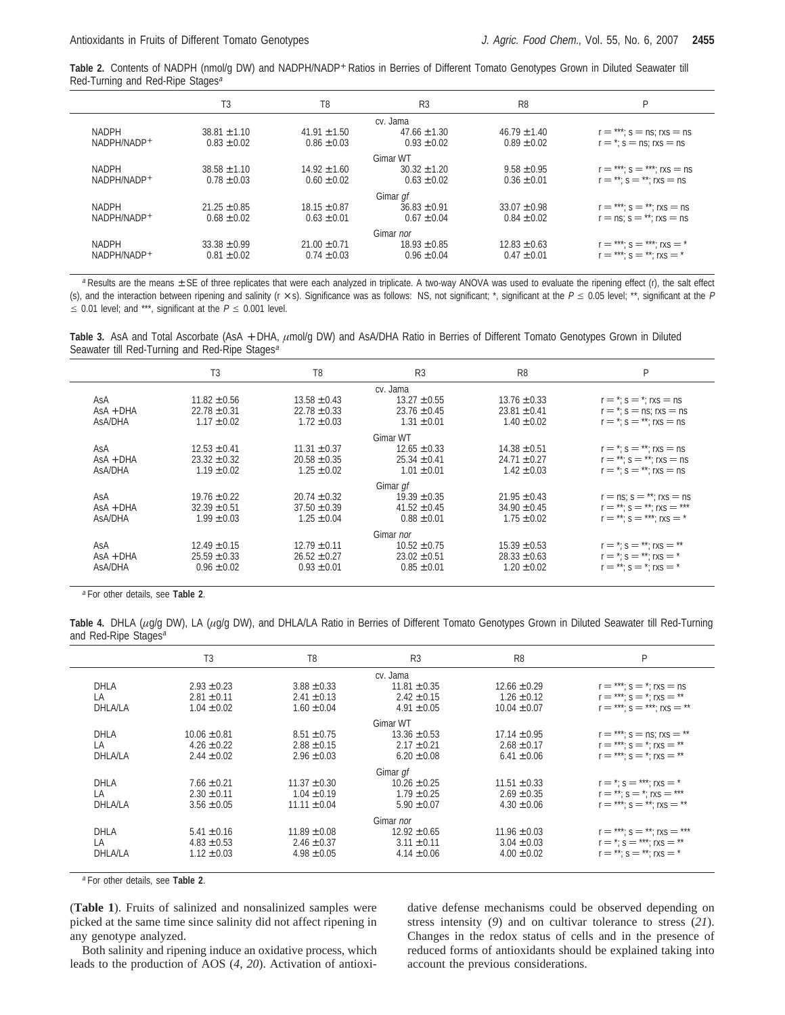**Table 2.** Contents of NADPH (nmol/g DW) and NADPH/NADP<sup>+</sup> Ratios in Berries of Different Tomato Genotypes Grown in Diluted Seawater till Red-Turning and Red-Ripe Stages<sup>a</sup>

|                             | T <sub>3</sub>                      | T8                                  | R <sub>3</sub>                      | R <sub>8</sub>                      | P                                                                 |  |  |  |  |
|-----------------------------|-------------------------------------|-------------------------------------|-------------------------------------|-------------------------------------|-------------------------------------------------------------------|--|--|--|--|
|                             | cv. Jama                            |                                     |                                     |                                     |                                                                   |  |  |  |  |
| <b>NADPH</b><br>NADPH/NADP+ | $38.81 \pm 1.10$<br>$0.83 \pm 0.02$ | $41.91 \pm 1.50$<br>$0.86 \pm 0.03$ | $47.66 \pm 1.30$<br>$0.93 \pm 0.02$ | $46.79 \pm 1.40$<br>$0.89 \pm 0.02$ | $r =$ ***; s = ns; rxs = ns<br>$r =$ *: s = ns: rxs = ns          |  |  |  |  |
|                             |                                     |                                     | Gimar WT                            |                                     |                                                                   |  |  |  |  |
| <b>NADPH</b><br>NADPH/NADP+ | $38.58 \pm 1.10$<br>$0.78 \pm 0.03$ | $14.92 \pm 1.60$<br>$0.60 \pm 0.02$ | $30.32 \pm 1.20$<br>$0.63 \pm 0.02$ | $9.58 \pm 0.95$<br>$0.36 \pm 0.01$  | $r =$ ***; s = ***; rxs = ns<br>$r = **: s = **: rxs = ns$        |  |  |  |  |
|                             |                                     |                                     | Gimar gf                            |                                     |                                                                   |  |  |  |  |
| <b>NADPH</b><br>NADPH/NADP+ | $21.25 \pm 0.85$<br>$0.68 \pm 0.02$ | $18.15 \pm 0.87$<br>$0.63 \pm 0.01$ | $36.83 \pm 0.91$<br>$0.67 \pm 0.04$ | $33.07 \pm 0.98$<br>$0.84 \pm 0.02$ | $r =$ ***; s = **; rxs = ns<br>$r = ns$ : $s = **$ : rxs $r = ns$ |  |  |  |  |
|                             |                                     |                                     | Gimar nor                           |                                     |                                                                   |  |  |  |  |
| <b>NADPH</b><br>NADPH/NADP+ | $33.38 \pm 0.99$<br>$0.81 \pm 0.02$ | $21.00 \pm 0.71$<br>$0.74 \pm 0.03$ | $18.93 \pm 0.85$<br>$0.96 \pm 0.04$ | $12.83 \pm 0.63$<br>$0.47 \pm 0.01$ | $r =$ ***: $s =$ ***: rxs = *<br>$r =$ ***; s = **; rxs = *       |  |  |  |  |

 $a$  Results are the means  $\pm$  SE of three replicates that were each analyzed in triplicate. A two-way ANOVA was used to evaluate the ripening effect (r), the salt effect (s), and the interaction between ripening and salinity (r  $\times$  s). Significance was as follows: NS, not significant; \*, significant at the  $P \le 0.05$  level; \*\*, significant at the P  $\leq$  0.01 level; and \*\*\*, significant at the  $P \leq$  0.001 level.

Table 3. AsA and Total Ascorbate (AsA + DHA,  $\mu$ mol/g DW) and AsA/DHA Ratio in Berries of Different Tomato Genotypes Grown in Diluted Seawater till Red-Turning and Red-Ripe Stages<sup>a</sup>

|             | T <sub>3</sub>   | T <sub>8</sub>   | R <sub>3</sub>   | R <sub>8</sub>   | P                                  |  |  |  |  |
|-------------|------------------|------------------|------------------|------------------|------------------------------------|--|--|--|--|
| cv. Jama    |                  |                  |                  |                  |                                    |  |  |  |  |
| AsA         | $11.82 \pm 0.56$ | $13.58 \pm 0.43$ | $13.27 \pm 0.55$ | $13.76 \pm 0.33$ | $r = * : s = * : rxs = ns$         |  |  |  |  |
| $AsA + DHA$ | $22.78 \pm 0.31$ | $22.78 \pm 0.33$ | $23.76 \pm 0.45$ | $23.81 \pm 0.41$ | $r = *$ : s = ns; rxs = ns         |  |  |  |  |
| AsA/DHA     | $1.17 \pm 0.02$  | $1.72 \pm 0.03$  | $1.31 \pm 0.01$  | $1.40 \pm 0.02$  | $r = *$ ; $s = **$ ; rxs = ns      |  |  |  |  |
|             |                  |                  | Gimar WT         |                  |                                    |  |  |  |  |
| AsA         | $12.53 \pm 0.41$ | $11.31 \pm 0.37$ | $12.65 \pm 0.33$ | $14.38 \pm 0.51$ | $r = *$ ; $s = **$ ; rxs = ns      |  |  |  |  |
| $AsA + DHA$ | $23.32 \pm 0.32$ | $20.58 \pm 0.35$ | $25.34 \pm 0.41$ | $24.71 \pm 0.27$ | $r = **$ ; s = **; rxs = ns        |  |  |  |  |
| AsA/DHA     | $1.19 \pm 0.02$  | $1.25 \pm 0.02$  | $1.01 \pm 0.01$  | $1.42 \pm 0.03$  | $r = *s = **: rs = ns$             |  |  |  |  |
|             |                  |                  | Gimar gf         |                  |                                    |  |  |  |  |
| AsA         | $19.76 \pm 0.22$ | $20.74 \pm 0.32$ | $19.39 \pm 0.35$ | $21.95 \pm 0.43$ | $r = ns$ ; $s = **$ ; rxs $r = ns$ |  |  |  |  |
| $AsA + DHA$ | $32.39 \pm 0.51$ | $37.50 \pm 0.39$ | $41.52 \pm 0.45$ | $34.90 \pm 0.45$ | $r = **$ ; $s = **$ ; $rxs =***$   |  |  |  |  |
| AsA/DHA     | $1.99 \pm 0.03$  | $1.25 \pm 0.04$  | $0.88 \pm 0.01$  | $1.75 \pm 0.02$  | $r = **$ ; $s = **$ ; rxs = *      |  |  |  |  |
|             |                  |                  | Gimar nor        |                  |                                    |  |  |  |  |
| AsA         | $12.49 \pm 0.15$ | $12.79 \pm 0.11$ | $10.52 \pm 0.75$ | $15.39 \pm 0.53$ | $r = *$ ; s = **; rxs = **         |  |  |  |  |
| $AsA + DHA$ | $25.59 \pm 0.33$ | $26.52 \pm 0.27$ | $23.02 \pm 0.51$ | $28.33 \pm 0.63$ | $r = * : s = ** : rxs = *$         |  |  |  |  |
| AsA/DHA     | $0.96 \pm 0.02$  | $0.93 \pm 0.01$  | $0.85 \pm 0.01$  | $1.20 \pm 0.02$  | $r = **$ ; s = *; rxs = *          |  |  |  |  |
|             |                  |                  |                  |                  |                                    |  |  |  |  |

<sup>a</sup> For other details, see **Table 2**.

Table 4. DHLA (*µg/g DW*), LA (*µg/g DW*), and DHLA/LA Ratio in Berries of Different Tomato Genotypes Grown in Diluted Seawater till Red-Turning and Red-Ripe Stages<sup>a</sup>

|                | T <sub>3</sub>   | T <sub>8</sub>   | R <sub>3</sub>   | R <sub>8</sub>   | P                               |
|----------------|------------------|------------------|------------------|------------------|---------------------------------|
|                |                  |                  | cv. Jama         |                  |                                 |
| <b>DHLA</b>    | $2.93 \pm 0.23$  | $3.88 \pm 0.33$  | $11.81 \pm 0.35$ | $12.66 \pm 0.29$ | $r =$ ***: $s =$ *: rxs = ns    |
| LA             | $2.81 \pm 0.11$  | $2.41 \pm 0.13$  | $2.42 \pm 0.15$  | $1.26 \pm 0.12$  | $r =$ ***; s = *; rxs = **      |
| DHLA/LA        | $1.04 \pm 0.02$  | $1.60 \pm 0.04$  | $4.91 \pm 0.05$  | $10.04 \pm 0.07$ | $r =$ ***: $s =$ ***: rxs = **  |
|                |                  |                  | Gimar WT         |                  |                                 |
| <b>DHLA</b>    | $10.06 \pm 0.81$ | $8.51 \pm 0.75$  | $13.36 \pm 0.53$ | $17.14 \pm 0.95$ | $r =$ ***: s = ns: rxs = **     |
| LA             | $4.26 \pm 0.22$  | $2.88 \pm 0.15$  | $2.17 \pm 0.21$  | $2.68 \pm 0.17$  | $r =***$ ; $s =$ *; $rxs =$ **  |
| DHLA/LA        | $2.44 \pm 0.02$  | $2.96 \pm 0.03$  | $6.20 \pm 0.08$  | $6.41 \pm 0.06$  | $r =$ ***: $s =$ *: rxs = **    |
|                |                  |                  | Gimar gf         |                  |                                 |
| <b>DHLA</b>    | $7.66 \pm 0.21$  | $11.37 \pm 0.30$ | $10.26 \pm 0.25$ | $11.51 \pm 0.33$ | $r = *$ : $s = **$ : rxs = *    |
| LA             | $2.30 \pm 0.11$  | $1.04 \pm 0.19$  | $1.79 \pm 0.25$  | $2.69 \pm 0.35$  | $r = **: s = "rxs = **$         |
| DHLA/LA        | $3.56 \pm 0.05$  | $11.11 \pm 0.04$ | $5.90 \pm 0.07$  | $4.30 \pm 0.06$  | $r =$ ***: $s =$ **: rxs = **   |
|                |                  |                  | Gimar nor        |                  |                                 |
| <b>DHLA</b>    | $5.41 \pm 0.16$  | $11.89 \pm 0.08$ | $12.92 \pm 0.65$ | $11.96 \pm 0.03$ | $r =$ ***: $s =$ **: rxs = ***  |
| LA             | $4.83 \pm 0.53$  | $2.46 \pm 0.37$  | $3.11 \pm 0.11$  | $3.04 \pm 0.03$  | $r = *$ : $s = **$ : $rxs = **$ |
| <b>DHLA/LA</b> | $1.12 \pm 0.03$  | $4.98 \pm 0.05$  | $4.14 \pm 0.06$  | $4.00 \pm 0.02$  | $r = **$ ; s = **; rxs = *      |

<sup>a</sup> For other details, see **Table 2**.

(**Table 1**). Fruits of salinized and nonsalinized samples were picked at the same time since salinity did not affect ripening in any genotype analyzed.

Both salinity and ripening induce an oxidative process, which leads to the production of AOS (*4*, *20*). Activation of antioxidative defense mechanisms could be observed depending on stress intensity (*9*) and on cultivar tolerance to stress (*21*). Changes in the redox status of cells and in the presence of reduced forms of antioxidants should be explained taking into account the previous considerations.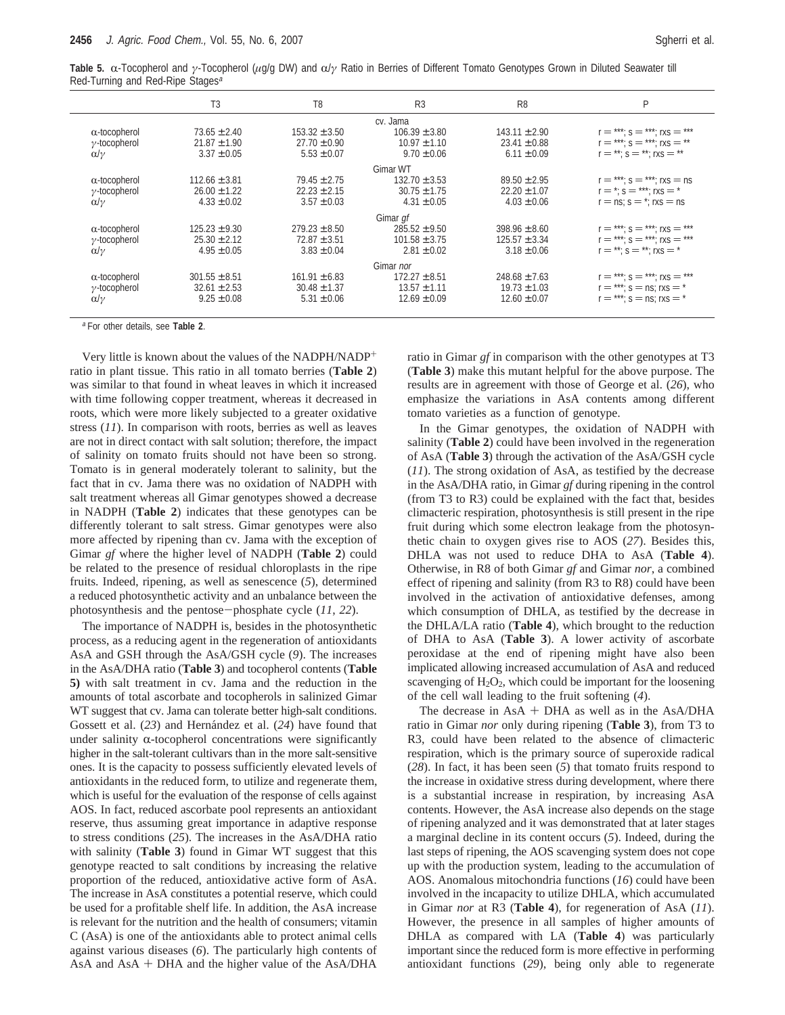|                                              | Table 5. $\alpha$ -Tocopherol and $\gamma$ -Tocopherol ( $\mu$ g/g DW) and $\alpha/\gamma$ Ratio in Berries of Different Tomato Genotypes Grown in Diluted Seawater till |  |  |  |  |  |
|----------------------------------------------|--------------------------------------------------------------------------------------------------------------------------------------------------------------------------|--|--|--|--|--|
| Red-Turning and Red-Ripe Stages <sup>a</sup> |                                                                                                                                                                          |  |  |  |  |  |

|                      | T3                | T <sub>8</sub>    | R <sub>3</sub>    | R <sub>8</sub>    | P                               |
|----------------------|-------------------|-------------------|-------------------|-------------------|---------------------------------|
|                      |                   |                   | cv. Jama          |                   |                                 |
| $\alpha$ -tocopherol | $73.65 \pm 2.40$  | $153.32 \pm 3.50$ | $106.39 \pm 3.80$ | $143.11 \pm 2.90$ | $r =$ ***; s = ***; rxs = ***   |
| $\gamma$ -tocopherol | $21.87 \pm 1.90$  | $27.70 \pm 0.90$  | $10.97 \pm 1.10$  | $23.41 \pm 0.88$  | $r =$ ***; s = ***; rxs = **    |
| $\alpha/\gamma$      | $3.37 \pm 0.05$   | $5.53 \pm 0.07$   | $9.70 \pm 0.06$   | $6.11 \pm 0.09$   | $r = **: s = **: rxs = **$      |
|                      |                   |                   | Gimar WT          |                   |                                 |
| $\alpha$ -tocopherol | $112.66 \pm 3.81$ | $79.45 \pm 2.75$  | $132.70 \pm 3.53$ | $89.50 \pm 2.95$  | $r =$ ***; s = ***; rxs = ns    |
| $\gamma$ -tocopherol | $26.00 \pm 1.22$  | $22.23 \pm 2.15$  | $30.75 \pm 1.75$  | $22.20 \pm 1.07$  | $r =$ *: s = ***: rxs = *       |
| $\alpha/\gamma$      | $4.33 \pm 0.02$   | $3.57 \pm 0.03$   | $4.31 \pm 0.05$   | $4.03 \pm 0.06$   | $r = ns$ ; $s =$ *; rxs = ns    |
|                      |                   |                   | Gimar gf          |                   |                                 |
| $\alpha$ -tocopherol | $125.23 \pm 9.30$ | $279.23 \pm 8.50$ | $285.52 \pm 9.50$ | $398.96 \pm 8.60$ | $r =$ ***; s = ***; rxs = ***   |
| $\gamma$ -tocopherol | $25.30 \pm 2.12$  | $72.87 \pm 3.51$  | $101.58 \pm 3.75$ | $125.57 \pm 3.34$ | $r =$ ***; s = ***; rxs = ***   |
| $\alpha/\gamma$      | $4.95 \pm 0.05$   | $3.83 \pm 0.04$   | $2.81 \pm 0.02$   | $3.18 \pm 0.06$   | $r = **$ : $s = **$ : rxs $= *$ |
|                      |                   |                   | Gimar nor         |                   |                                 |
| $\alpha$ -tocopherol | $301.55 \pm 8.51$ | $161.91 \pm 6.83$ | $172.27 \pm 8.51$ | $248.68 \pm 7.63$ | $r =$ ***; s = ***; rxs = ***   |
| $\gamma$ -tocopherol | $32.61 \pm 2.53$  | $30.48 \pm 1.37$  | $13.57 \pm 1.11$  | $19.73 \pm 1.03$  | $r =$ ***: s = ns: rxs = *      |
| $\alpha/\gamma$      | $9.25 \pm 0.08$   | $5.31 \pm 0.06$   | $12.69 \pm 0.09$  | $12.60 \pm 0.07$  | $r =$ ***; s = ns; rxs = *      |
|                      |                   |                   |                   |                   |                                 |

<sup>a</sup> For other details, see **Table 2**.

Very little is known about the values of the NADPH/NADP+ ratio in plant tissue. This ratio in all tomato berries (**Table 2**) was similar to that found in wheat leaves in which it increased with time following copper treatment, whereas it decreased in roots, which were more likely subjected to a greater oxidative stress (*11*). In comparison with roots, berries as well as leaves are not in direct contact with salt solution; therefore, the impact of salinity on tomato fruits should not have been so strong. Tomato is in general moderately tolerant to salinity, but the fact that in cv. Jama there was no oxidation of NADPH with salt treatment whereas all Gimar genotypes showed a decrease in NADPH (**Table 2**) indicates that these genotypes can be differently tolerant to salt stress. Gimar genotypes were also more affected by ripening than cv. Jama with the exception of Gimar *gf* where the higher level of NADPH (**Table 2**) could be related to the presence of residual chloroplasts in the ripe fruits. Indeed, ripening, as well as senescence (*5*), determined a reduced photosynthetic activity and an unbalance between the photosynthesis and the pentose-phosphate cycle (*11*, *<sup>22</sup>*).

The importance of NADPH is, besides in the photosynthetic process, as a reducing agent in the regeneration of antioxidants AsA and GSH through the AsA/GSH cycle (*9*). The increases in the AsA/DHA ratio (**Table 3**) and tocopherol contents (**Table 5)** with salt treatment in cv. Jama and the reduction in the amounts of total ascorbate and tocopherols in salinized Gimar WT suggest that cv. Jama can tolerate better high-salt conditions. Gossett et al. (23) and Hernández et al. (24) have found that under salinity  $\alpha$ -tocopherol concentrations were significantly higher in the salt-tolerant cultivars than in the more salt-sensitive ones. It is the capacity to possess sufficiently elevated levels of antioxidants in the reduced form, to utilize and regenerate them, which is useful for the evaluation of the response of cells against AOS. In fact, reduced ascorbate pool represents an antioxidant reserve, thus assuming great importance in adaptive response to stress conditions (*25*). The increases in the AsA/DHA ratio with salinity (**Table 3**) found in Gimar WT suggest that this genotype reacted to salt conditions by increasing the relative proportion of the reduced, antioxidative active form of AsA. The increase in AsA constitutes a potential reserve, which could be used for a profitable shelf life. In addition, the AsA increase is relevant for the nutrition and the health of consumers; vitamin C (AsA) is one of the antioxidants able to protect animal cells against various diseases (*6*). The particularly high contents of AsA and AsA + DHA and the higher value of the AsA/DHA

ratio in Gimar *gf* in comparison with the other genotypes at T3 (**Table 3**) make this mutant helpful for the above purpose. The results are in agreement with those of George et al. (*26*), who emphasize the variations in AsA contents among different tomato varieties as a function of genotype.

In the Gimar genotypes, the oxidation of NADPH with salinity (**Table 2**) could have been involved in the regeneration of AsA (**Table 3**) through the activation of the AsA/GSH cycle (*11*). The strong oxidation of AsA, as testified by the decrease in the AsA/DHA ratio, in Gimar *gf* during ripening in the control (from T3 to R3) could be explained with the fact that, besides climacteric respiration, photosynthesis is still present in the ripe fruit during which some electron leakage from the photosynthetic chain to oxygen gives rise to AOS (*27*). Besides this, DHLA was not used to reduce DHA to AsA (**Table 4**). Otherwise, in R8 of both Gimar *gf* and Gimar *nor*, a combined effect of ripening and salinity (from R3 to R8) could have been involved in the activation of antioxidative defenses, among which consumption of DHLA, as testified by the decrease in the DHLA/LA ratio (**Table 4**), which brought to the reduction of DHA to AsA (**Table 3**). A lower activity of ascorbate peroxidase at the end of ripening might have also been implicated allowing increased accumulation of AsA and reduced scavenging of  $H_2O_2$ , which could be important for the loosening of the cell wall leading to the fruit softening (*4*).

The decrease in AsA + DHA as well as in the AsA/DHA ratio in Gimar *nor* only during ripening (**Table 3**), from T3 to R3, could have been related to the absence of climacteric respiration, which is the primary source of superoxide radical (*28*). In fact, it has been seen (*5*) that tomato fruits respond to the increase in oxidative stress during development, where there is a substantial increase in respiration, by increasing AsA contents. However, the AsA increase also depends on the stage of ripening analyzed and it was demonstrated that at later stages a marginal decline in its content occurs (*5*). Indeed, during the last steps of ripening, the AOS scavenging system does not cope up with the production system, leading to the accumulation of AOS. Anomalous mitochondria functions (*16*) could have been involved in the incapacity to utilize DHLA, which accumulated in Gimar *nor* at R3 (**Table 4**), for regeneration of AsA (*11*). However, the presence in all samples of higher amounts of DHLA as compared with LA (**Table 4**) was particularly important since the reduced form is more effective in performing antioxidant functions (*29*), being only able to regenerate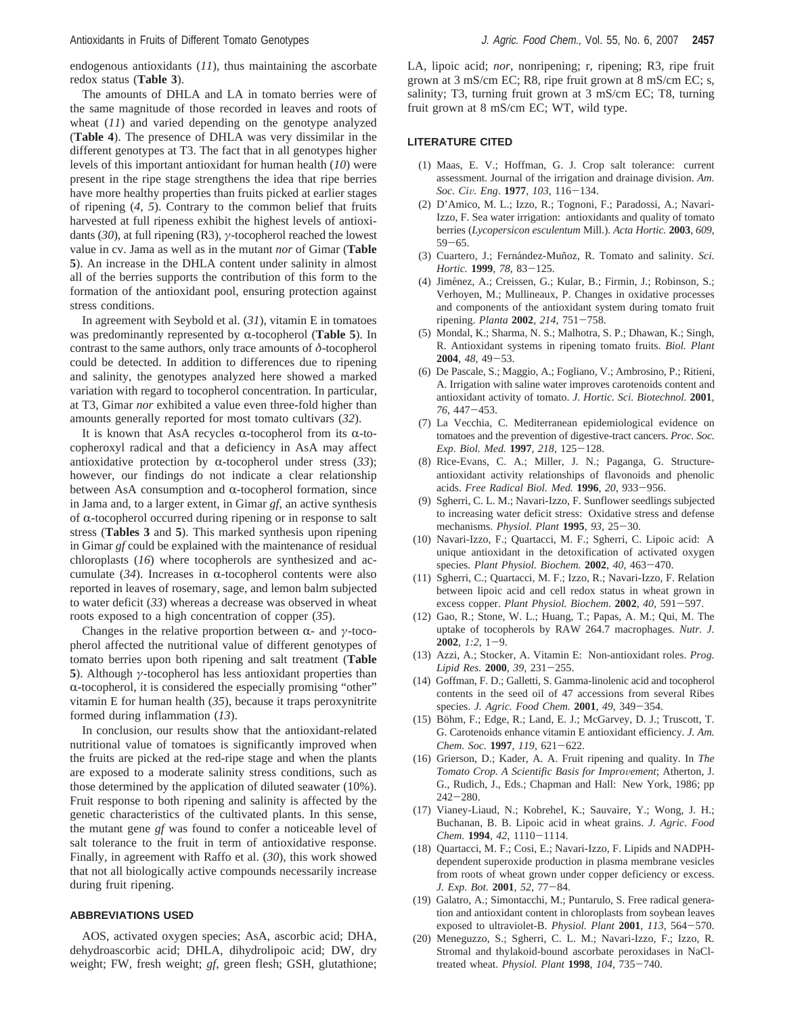endogenous antioxidants (*11*), thus maintaining the ascorbate redox status (**Table 3**).

The amounts of DHLA and LA in tomato berries were of the same magnitude of those recorded in leaves and roots of wheat (*11*) and varied depending on the genotype analyzed (**Table 4**). The presence of DHLA was very dissimilar in the different genotypes at T3. The fact that in all genotypes higher levels of this important antioxidant for human health (*10*) were present in the ripe stage strengthens the idea that ripe berries have more healthy properties than fruits picked at earlier stages of ripening (*4*, *5*). Contrary to the common belief that fruits harvested at full ripeness exhibit the highest levels of antioxidants (*30*), at full ripening (R3), *γ*-tocopherol reached the lowest value in cv. Jama as well as in the mutant *nor* of Gimar (**Table 5**). An increase in the DHLA content under salinity in almost all of the berries supports the contribution of this form to the formation of the antioxidant pool, ensuring protection against stress conditions.

In agreement with Seybold et al. (*31*), vitamin E in tomatoes was predominantly represented by  $\alpha$ -tocopherol (**Table 5**). In contrast to the same authors, only trace amounts of *δ*-tocopherol could be detected. In addition to differences due to ripening and salinity, the genotypes analyzed here showed a marked variation with regard to tocopherol concentration. In particular, at T3, Gimar *nor* exhibited a value even three-fold higher than amounts generally reported for most tomato cultivars (*32*).

It is known that AsA recycles  $\alpha$ -tocopherol from its  $\alpha$ -tocopheroxyl radical and that a deficiency in AsA may affect antioxidative protection by  $\alpha$ -tocopherol under stress (33); however, our findings do not indicate a clear relationship between AsA consumption and  $\alpha$ -tocopherol formation, since in Jama and, to a larger extent, in Gimar *gf*, an active synthesis of  $\alpha$ -tocopherol occurred during ripening or in response to salt stress (**Tables 3** and **5**). This marked synthesis upon ripening in Gimar *gf* could be explained with the maintenance of residual chloroplasts (*16*) where tocopherols are synthesized and accumulate  $(34)$ . Increases in  $\alpha$ -tocopherol contents were also reported in leaves of rosemary, sage, and lemon balm subjected to water deficit (*33*) whereas a decrease was observed in wheat roots exposed to a high concentration of copper (*35*).

Changes in the relative proportion between R- and *<sup>γ</sup>*-tocopherol affected the nutritional value of different genotypes of tomato berries upon both ripening and salt treatment (**Table 5**). Although *γ*-tocopherol has less antioxidant properties than  $\alpha$ -tocopherol, it is considered the especially promising "other" vitamin E for human health (*35*), because it traps peroxynitrite formed during inflammation (*13*).

In conclusion, our results show that the antioxidant-related nutritional value of tomatoes is significantly improved when the fruits are picked at the red-ripe stage and when the plants are exposed to a moderate salinity stress conditions, such as those determined by the application of diluted seawater (10%). Fruit response to both ripening and salinity is affected by the genetic characteristics of the cultivated plants. In this sense, the mutant gene *gf* was found to confer a noticeable level of salt tolerance to the fruit in term of antioxidative response. Finally, in agreement with Raffo et al. (*30*), this work showed that not all biologically active compounds necessarily increase during fruit ripening.

## **ABBREVIATIONS USED**

AOS, activated oxygen species; AsA, ascorbic acid; DHA, dehydroascorbic acid; DHLA, dihydrolipoic acid; DW, dry weight; FW, fresh weight; *gf*, green flesh; GSH, glutathione; LA, lipoic acid; *nor*, nonripening; r, ripening; R3, ripe fruit grown at 3 mS/cm EC; R8, ripe fruit grown at 8 mS/cm EC; s, salinity; T3, turning fruit grown at 3 mS/cm EC; T8, turning fruit grown at 8 mS/cm EC; WT, wild type.

#### **LITERATURE CITED**

- (1) Maas, E. V.; Hoffman, G. J. Crop salt tolerance: current assessment. Journal of the irrigation and drainage division. *Am. Soc. Ci*V*. Eng*. **<sup>1977</sup>**, *<sup>103</sup>*, 116-134.
- (2) D'Amico, M. L.; Izzo, R.; Tognoni, F.; Paradossi, A.; Navari-Izzo, F. Sea water irrigation: antioxidants and quality of tomato berries (*Lycopersicon esculentum* Mill.). *Acta Hortic.* **2003**, *609*,  $59 - 65.$
- (3) Cuartero, J.; Fernández-Muñoz, R. Tomato and salinity. *Sci. Hortic.* **<sup>1999</sup>**, *<sup>78</sup>*, 83-125.
- (4) Jiménez, A.; Creissen, G.; Kular, B.; Firmin, J.; Robinson, S.; Verhoyen, M.; Mullineaux, P. Changes in oxidative processes and components of the antioxidant system during tomato fruit ripening. *Planta* **<sup>2002</sup>**, *<sup>214</sup>*, 751-758.
- (5) Mondal, K.; Sharma, N. S.; Malhotra, S. P.; Dhawan, K.; Singh, R. Antioxidant systems in ripening tomato fruits. *Biol. Plant* **<sup>2004</sup>**, *<sup>48</sup>*, 49-53.
- (6) De Pascale, S.; Maggio, A.; Fogliano, V.; Ambrosino, P.; Ritieni, A. Irrigation with saline water improves carotenoids content and antioxidant activity of tomato. *J. Hortic. Sci. Biotechnol.* **2001**, *<sup>76</sup>*, 447-453.
- (7) La Vecchia, C. Mediterranean epidemiological evidence on tomatoes and the prevention of digestive-tract cancers. *Proc. Soc. Exp. Biol. Med.* **<sup>1997</sup>**, *<sup>218</sup>*, 125-128.
- (8) Rice-Evans, C. A.; Miller, J. N.; Paganga, G. Structureantioxidant activity relationships of flavonoids and phenolic acids. *Free Radical Biol. Med.* **<sup>1996</sup>**, *<sup>20</sup>*, 933-956.
- (9) Sgherri, C. L. M.; Navari-Izzo, F. Sunflower seedlings subjected to increasing water deficit stress: Oxidative stress and defense mechanisms. *Physiol. Plant* **<sup>1995</sup>**, *<sup>93</sup>*, 25-30.
- (10) Navari-Izzo, F.; Quartacci, M. F.; Sgherri, C. Lipoic acid: A unique antioxidant in the detoxification of activated oxygen species. *Plant Physiol. Biochem.* **<sup>2002</sup>**, *<sup>40</sup>*, 463-470.
- (11) Sgherri, C.; Quartacci, M. F.; Izzo, R.; Navari-Izzo, F. Relation between lipoic acid and cell redox status in wheat grown in excess copper. *Plant Physiol. Biochem.* **<sup>2002</sup>**, *<sup>40</sup>*, 591-597.
- (12) Gao, R.; Stone, W. L.; Huang, T.; Papas, A. M.; Qui, M. The uptake of tocopherols by RAW 264.7 macrophages. *Nutr. J.* **<sup>2002</sup>**, *1:2*, 1-9.
- (13) Azzi, A.; Stocker, A. Vitamin E: Non-antioxidant roles. *Prog. Lipid Res.* **<sup>2000</sup>**, *<sup>39</sup>*, 231-255.
- (14) Goffman, F. D.; Galletti, S. Gamma-linolenic acid and tocopherol contents in the seed oil of 47 accessions from several Ribes species. *J. Agric. Food Chem.* **<sup>2001</sup>**, *<sup>49</sup>*, 349-354.
- (15) Böhm, F.; Edge, R.; Land, E. J.; McGarvey, D. J.; Truscott, T. G. Carotenoids enhance vitamin E antioxidant efficiency. *J. Am. Chem. Soc.* **<sup>1997</sup>**, *<sup>119</sup>*, 621-622.
- (16) Grierson, D.; Kader, A. A. Fruit ripening and quality. In *The Tomato Crop. A Scientific Basis for Improvement*; Atherton, J. G., Rudich, J., Eds.; Chapman and Hall: New York, 1986; pp <sup>242</sup>-280. (17) Vianey-Liaud, N.; Kobrehel, K.; Sauvaire, Y.; Wong, J. H.;
- Buchanan, B. B. Lipoic acid in wheat grains. *J. Agric. Food Chem.* **<sup>1994</sup>**, *<sup>42</sup>*, 1110-1114.
- (18) Quartacci, M. F.; Cosi, E.; Navari-Izzo, F. Lipids and NADPHdependent superoxide production in plasma membrane vesicles from roots of wheat grown under copper deficiency or excess. *J. Exp. Bot.* **<sup>2001</sup>**, *<sup>52</sup>*, 77-84.
- (19) Galatro, A.; Simontacchi, M.; Puntarulo, S. Free radical generation and antioxidant content in chloroplasts from soybean leaves exposed to ultraviolet-B. *Physiol. Plant* **<sup>2001</sup>**, *<sup>113</sup>*, 564-570.
- (20) Meneguzzo, S.; Sgherri, C. L. M.; Navari-Izzo, F.; Izzo, R. Stromal and thylakoid-bound ascorbate peroxidases in NaCltreated wheat. *Physiol. Plant* **<sup>1998</sup>**, *<sup>104</sup>*, 735-740.